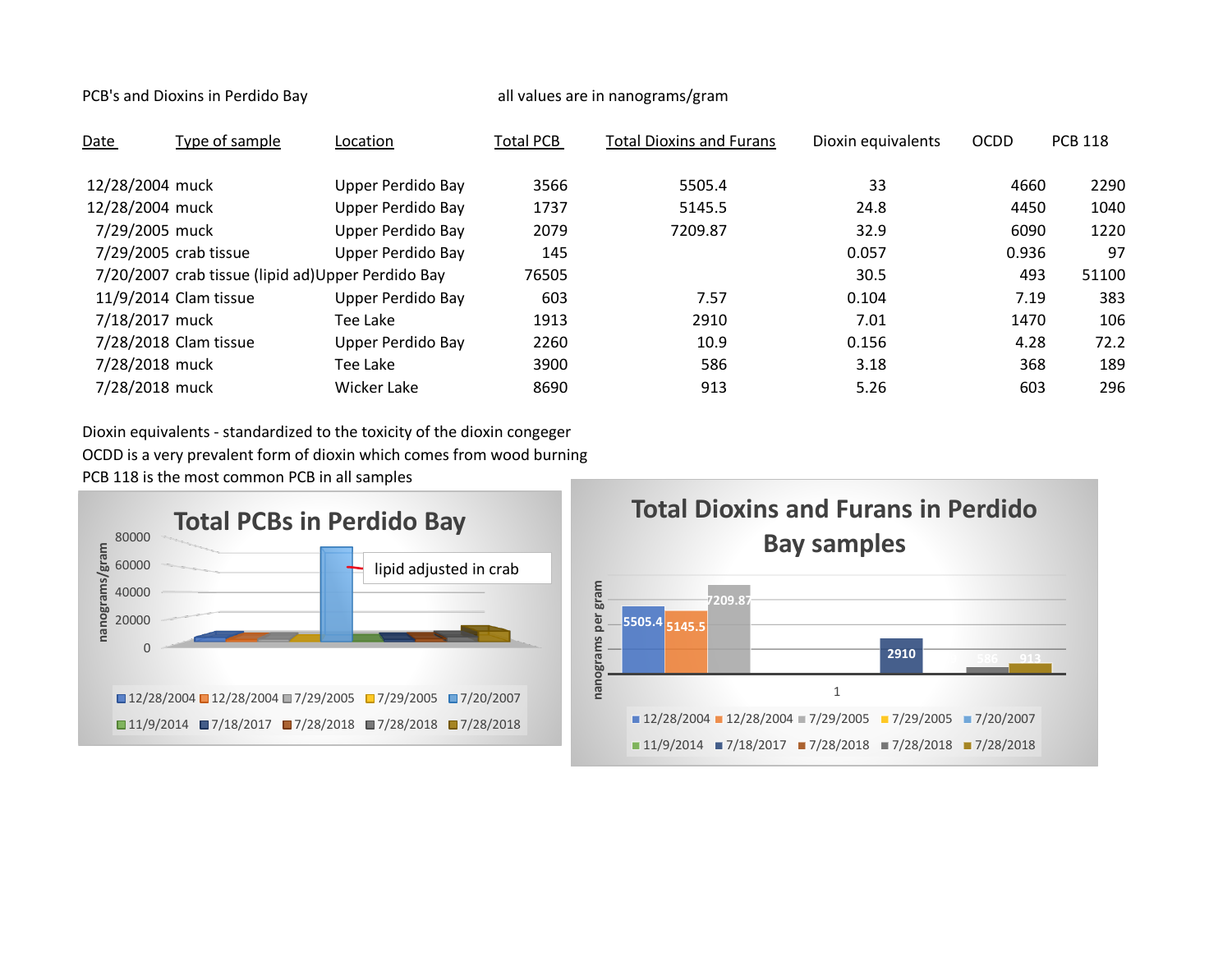PCB's and Dioxins in Perdido Bay and Dioxins in Perdido Bay all values are in nanograms/gram

| Date            | Type of sample                                     | Location          | <b>Total PCB</b> | <b>Total Dioxins and Furans</b> | Dioxin equivalents | <b>OCDD</b> | <b>PCB 118</b> |
|-----------------|----------------------------------------------------|-------------------|------------------|---------------------------------|--------------------|-------------|----------------|
| 12/28/2004 muck |                                                    | Upper Perdido Bay | 3566             | 5505.4                          | 33                 | 4660        | 2290           |
| 12/28/2004 muck |                                                    | Upper Perdido Bay | 1737             | 5145.5                          | 24.8               | 4450        | 1040           |
| 7/29/2005 muck  |                                                    | Upper Perdido Bay | 2079             | 7209.87                         | 32.9               | 6090        | 1220           |
|                 | 7/29/2005 crab tissue                              | Upper Perdido Bay | 145              |                                 | 0.057              | 0.936       | 97             |
|                 | 7/20/2007 crab tissue (lipid ad) Upper Perdido Bay |                   | 76505            |                                 | 30.5               | 493         | 51100          |
|                 | 11/9/2014 Clam tissue                              | Upper Perdido Bay | 603              | 7.57                            | 0.104              | 7.19        | 383            |
| 7/18/2017 muck  |                                                    | Tee Lake          | 1913             | 2910                            | 7.01               | 1470        | 106            |
|                 | 7/28/2018 Clam tissue                              | Upper Perdido Bay | 2260             | 10.9                            | 0.156              | 4.28        | 72.2           |
| 7/28/2018 muck  |                                                    | Tee Lake          | 3900             | 586                             | 3.18               | 368         | 189            |
| 7/28/2018 muck  |                                                    | Wicker Lake       | 8690             | 913                             | 5.26               | 603         | 296            |

Dioxin equivalents - standardized to the toxicity of the dioxin congeger OCDD is a very prevalent form of dioxin which comes from wood burning PCB 118 is the most common PCB in all samples